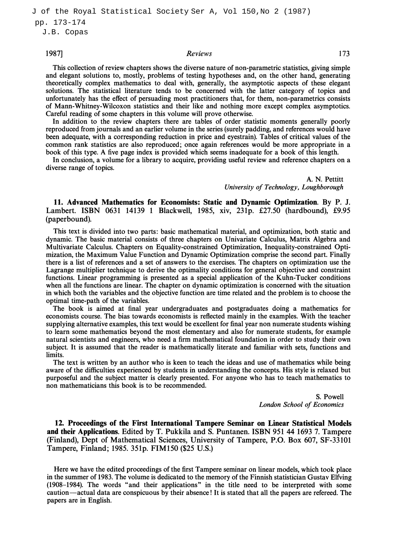J.B. Copas

## $1987$ ] and  $173$  Reviews 2008 and  $173$

This collection of review chapters shows the diverse nature of non-parametric statistics, giving simple and elegant solutions to, mostly, problems of testing hypotheses and, on the other hand, generating theoretically complex mathematics to deal with, generally, the asymptotic aspects of these elegant selutions. The statistical literature tends to be concerned with the latter category of topics and unfortunately has the effect of persuading most practitioners that, for them, non-parametrics consists of Mann-Whitney-Wilcoxon statistics and their like and nothing more except complex asymptotics. Careful reading of some chapters in this volume will prove otherwise.

In addition to the review chapters there are tables of order statistic moments generally poorly reproduced from journals and an earlier volume in the series (surely padding, and references would have been adequate, with a corresponding reduction in price and eyestrain). Tables of critical values of the common rank statistics are also reproduced; once again references would be more appropriate in a book of this type. A five page index is provided which seems inadequate for a book of this length.

In conclusion, a volume for a library to acquire, providing useful review and reference chapters on a diverse range of topics.

> A. N. Pettitt University of Technology, Loughborough

11. Advanced Mathematics for Economists: Static and Dynamic Optimization. By P. J. Lambert. ISBN 0631 14139 1 Blackwell, 1985, xiv, 231p. £27.50 (hardbound), £9.95 (paperbound).

This text is divided into two parts: basic mathematical material, and optimization, both static and dynamic. The basic material consists of three chapters on Univariate Calculus, Matrix Algebra and Multivariate Calculus. Chapters on Equality-constrained Optimization, Inequality-constrained Optimization, the Maximum Value Function and Dynamic Optimization comprise the second part. Finally there is a list of references and a set of answers to the exercises. The chapters on optimization use the Lagrange multiplier technique to derive the optimality conditions for general objective and constraint functions. Linear programming is presented as a special application of the Kuhn-Tucker conditions when all the functions are linear. The chapter on dynamic optimization is concerned with the situation in which both the variables and the objective function are time related and the problem is to choose the optimal time-path of the variables.

The book is aimed at final year undergraduates and postgraduates doing a mathematics for economists course. The bias towards economists is reflected mainly in the examples. With the teacher supplying alternative examples, this text would be excellent for final year non numerate students wishing to learn some mathematics beyond the most elementary and also for numerate students, for example natural scientists and engineers, who need a firm mathematical foundation in order to study their own subject. It is assumed that the reader is mathematically literate and familiar with sets, functions and limits.

The text is written by an author who is keen to teach the ideas and use of mathematics while being aware of the difficulties experienced by students in understanding the concepts. His style is relaxed but purposeful and the subject matter is clearly presented. For anyone who has to teach mathematics to non mathematicians this book is to be recommended.

> S. Powell London School of Economics

12. Proceedings of the First International Tampere Seminar on Linear Statistical Models and their Applications. Edited by T. Pukkila and S. Puntanen. ISBN 951 44 1693 7. Tampere (Finland), Dept of Mathematical Sciences, University of Tampere, P.O. Box 607, SF-33101 Tampere, Finland; 1985. 351p. FIM150 (\$25 U.S.)

Here we have the edited proceedings of the first Tampere seminar on linear models, which took place in the summer of 1983. The volume is dedicated to the memory of the Finnish statistician Gustav Elfving (1908-1984). The words "and their applications" in the title need to be interpreted with some caution-actual data are conspicuous by their absence! It is stated that all the papers are refereed. The papers are in English.